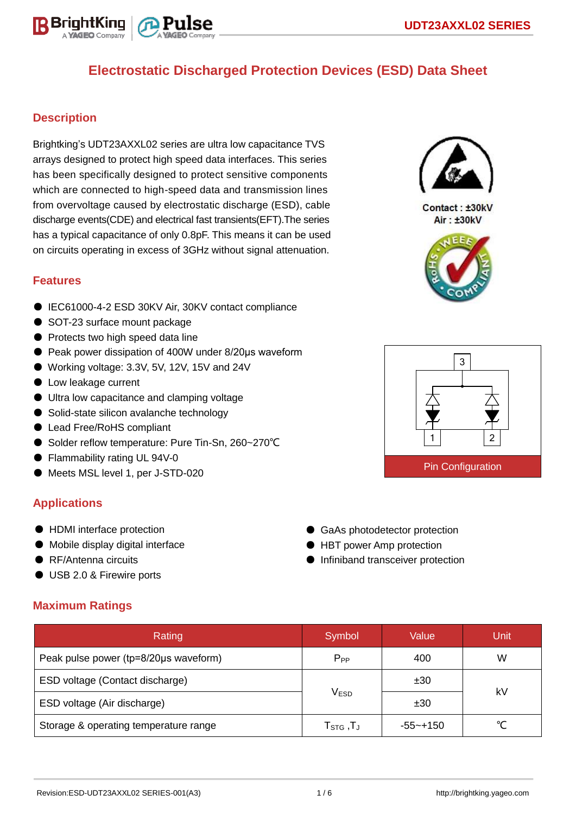

## **Description**

Brightking's UDT23AXXL02 series are ultra low capacitance TVS arrays designed to protect high speed data interfaces. This series has been specifically designed to protect sensitive components which are connected to high-speed data and transmission lines from overvoltage caused by electrostatic discharge (ESD), cable discharge events(CDE) and electrical fast transients(EFT).The series has a typical capacitance of only 0.8pF. This means it can be used on circuits operating in excess of 3GHz without signal attenuation.

### **Features**

- IEC61000-4-2 ESD 30KV Air, 30KV contact compliance
- SOT-23 surface mount package
- Protects two high speed data line
- Peak power dissipation of 400W under 8/20μs waveform
- Working voltage: 3.3V, 5V, 12V, 15V and 24V
- Low leakage current
- Ultra low capacitance and clamping voltage
- Solid-state silicon avalanche technology
- Lead Free/RoHS compliant
- Solder reflow temperature: Pure Tin-Sn, 260~270°C
- Flammability rating UL 94V-0
- Meets MSL level 1, per J-STD-020

## **Applications**

- HDMI interface protection
- Mobile display digital interface
- RF/Antenna circuits
- USB 2.0 & Firewire ports

## **Maximum Ratings**

| Rating                                | Symbol                           | Value       | Unit |  |
|---------------------------------------|----------------------------------|-------------|------|--|
| Peak pulse power (tp=8/20µs waveform) | $P_{PP}$                         | 400         | W    |  |
| ESD voltage (Contact discharge)       |                                  | ±30         |      |  |
| ESD voltage (Air discharge)           | <b>VESD</b>                      | ±30         | kV   |  |
| Storage & operating temperature range | $T_{\scriptstyle\text{STG}}$ ,TJ | $-55$ ~+150 |      |  |



Contact: ±30kV Air: ±30kV





● GaAs photodetector protection ● HBT power Amp protection ● Infiniband transceiver protection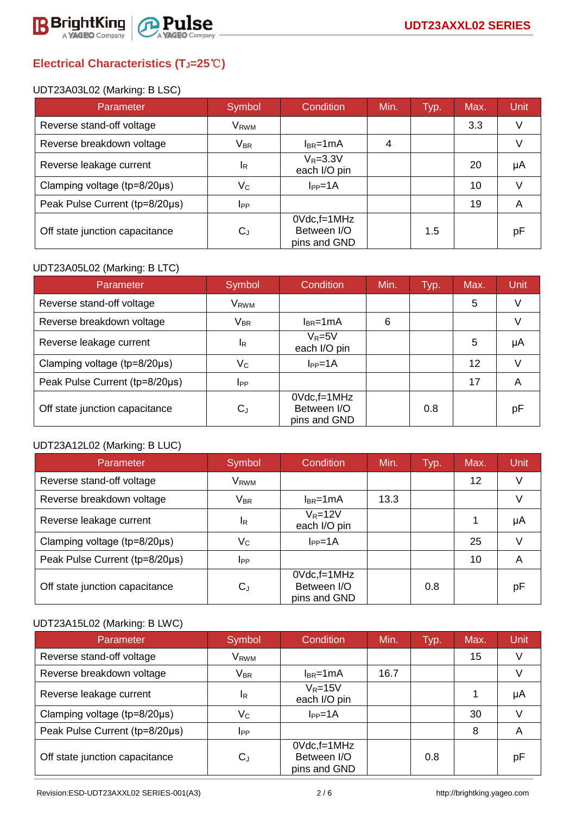

# **Electrical Characteristics (TJ=25**℃**)**

#### UDT23A03L02 (Marking: B LSC)

| Parameter                              | Symbol                | Condition                                         | Min. | Typ. | Max. | Unit |
|----------------------------------------|-----------------------|---------------------------------------------------|------|------|------|------|
| Reverse stand-off voltage              | V <sub>RWM</sub>      |                                                   |      |      | 3.3  | V    |
| Reverse breakdown voltage              | <b>V<sub>BR</sub></b> | $I_{BR}$ =1mA                                     | 4    |      |      |      |
| Reverse leakage current                | <sup>I</sup> R        | $V_R = 3.3V$<br>each I/O pin                      |      |      | 20   | μA   |
| Clamping voltage ( $tp = 8/20 \mu s$ ) | $V_C$                 | $I_{PP} = 1A$                                     |      |      | 10   |      |
| Peak Pulse Current (tp=8/20µs)         | <b>I</b> PP           |                                                   |      |      | 19   | A    |
| Off state junction capacitance         | $C_{d}$               | $0Vdc$ , f=1 $MHz$<br>Between I/O<br>pins and GND |      | 1.5  |      | рF   |

### UDT23A05L02 (Marking: B LTC)

| Parameter                      | Symbol                    | Condition                                      | Min. | Typ. | Max. | Unit |
|--------------------------------|---------------------------|------------------------------------------------|------|------|------|------|
| Reverse stand-off voltage      | V <sub>RWM</sub>          |                                                |      |      | 5    |      |
| Reverse breakdown voltage      | $V_{BR}$                  | $I_{BR}$ =1mA                                  | 6    |      |      |      |
| Reverse leakage current        | <b>IR</b>                 | $V_R = 5V$<br>each I/O pin                     |      |      | 5    | μA   |
| Clamping voltage (tp=8/20µs)   | $\mathsf{V}_{\mathsf{C}}$ | $I_{PP} = 1A$                                  |      |      | 12   |      |
| Peak Pulse Current (tp=8/20µs) | $_{\rm lPP}$              |                                                |      |      | 17   | A    |
| Off state junction capacitance | $C_J$                     | $0Vdc$ , f=1MHz<br>Between I/O<br>pins and GND |      | 0.8  |      | pF   |

### UDT23A12L02 (Marking: B LUC)

| Parameter                      | Symbol                    | Condition                                         | Min. | Typ. | Max. | <b>Unit</b> |
|--------------------------------|---------------------------|---------------------------------------------------|------|------|------|-------------|
| Reverse stand-off voltage      | V <sub>RWM</sub>          |                                                   |      |      | 12   | V           |
| Reverse breakdown voltage      | <b>V<sub>BR</sub></b>     | $l_{BR}$ =1mA                                     | 13.3 |      |      |             |
| Reverse leakage current        | <sup>I</sup> R            | $V_R = 12V$<br>each I/O pin                       |      |      |      | μA          |
| Clamping voltage (tp=8/20µs)   | $\mathsf{V}_{\mathsf{C}}$ | $I_{PP} = 1A$                                     |      |      | 25   | V           |
| Peak Pulse Current (tp=8/20µs) | <b>I</b> <sub>PP</sub>    |                                                   |      |      | 10   | A           |
| Off state junction capacitance | $C_J$                     | $0Vdc$ , f=1 $MHz$<br>Between I/O<br>pins and GND |      | 0.8  |      | рF          |

## UDT23A15L02 (Marking: B LWC)

| Parameter                      | Symbol           | Condition                                         | Min. | Typ. | Max. | Unit |
|--------------------------------|------------------|---------------------------------------------------|------|------|------|------|
| Reverse stand-off voltage      | V <sub>RWM</sub> |                                                   |      |      | 15   | V    |
| Reverse breakdown voltage      | $V_{\sf BR}$     | $I_{BR}$ =1mA                                     | 16.7 |      |      | V    |
| Reverse leakage current        | <sup>1</sup> R   | $V_R = 15V$<br>each I/O pin                       |      |      |      | μA   |
| Clamping voltage (tp=8/20µs)   | $V_C$            | $I_{PP}=1A$                                       |      |      | 30   |      |
| Peak Pulse Current (tp=8/20µs) | $_{\rm lpp}$     |                                                   |      |      | 8    | A    |
| Off state junction capacitance | $C_{J}$          | $0Vdc$ , f=1 $MHz$<br>Between I/O<br>pins and GND |      | 0.8  |      | рF   |

Revision:ESD-UDT23AXXL02 SERIES-001(A3) <br>
2/6 http://brightking.yageo.com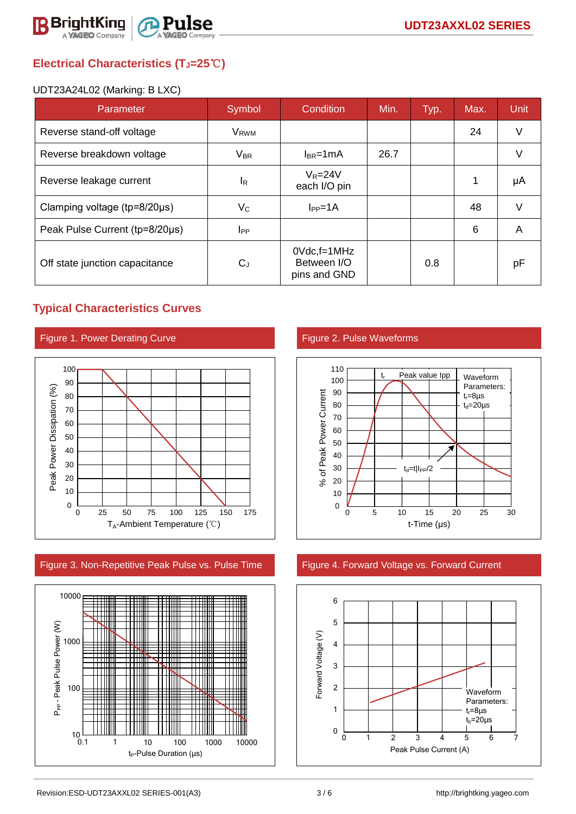

# **Electrical Characteristics (TJ=25**℃**)**

#### UDT23A24L02 (Marking: B LXC)

| Parameter                              | Symbol                | <b>Condition</b>                               | Min. | Typ. | Max. | <b>Unit</b> |
|----------------------------------------|-----------------------|------------------------------------------------|------|------|------|-------------|
| Reverse stand-off voltage              | V <sub>RWM</sub>      |                                                |      |      | 24   | V           |
| Reverse breakdown voltage              | <b>V<sub>BR</sub></b> | $I_{BR}$ =1mA                                  | 26.7 |      |      | $\vee$      |
| Reverse leakage current                | IR.                   | $V_R = 24V$<br>each I/O pin                    |      |      |      | μA          |
| Clamping voltage ( $tp = 8/20 \mu s$ ) | $V_C$                 | $I_{PP} = 1A$                                  |      |      | 48   | V           |
| Peak Pulse Current (tp=8/20µs)         | $_{\rm lpp}$          |                                                |      |      | 6    | A           |
| Off state junction capacitance         | $C_{J}$               | $0$ Vdc, f=1MHz<br>Between I/O<br>pins and GND |      | 0.8  |      | pF          |

## **Typical Characteristics Curves**





#### Figure 3. Non-Repetitive Peak Pulse vs. Pulse Time Figure 4. Forward Voltage vs. Forward Current





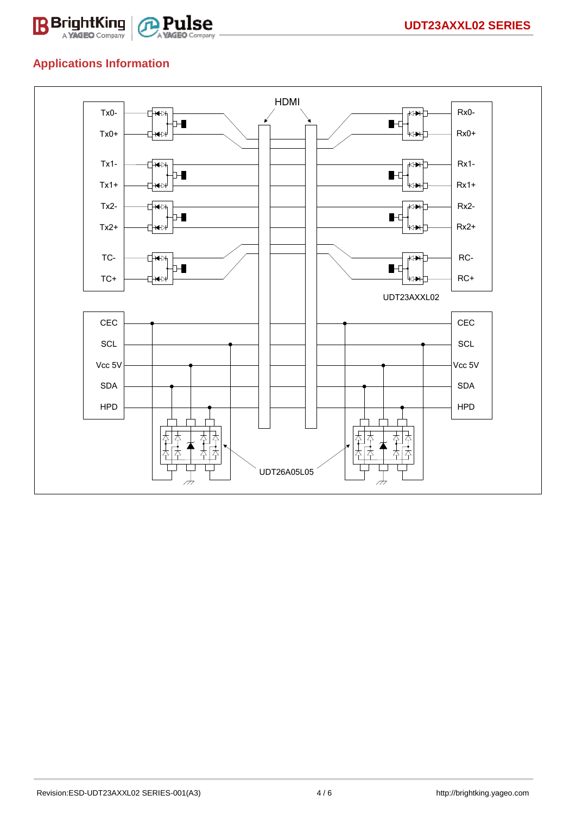

## **Applications Information**

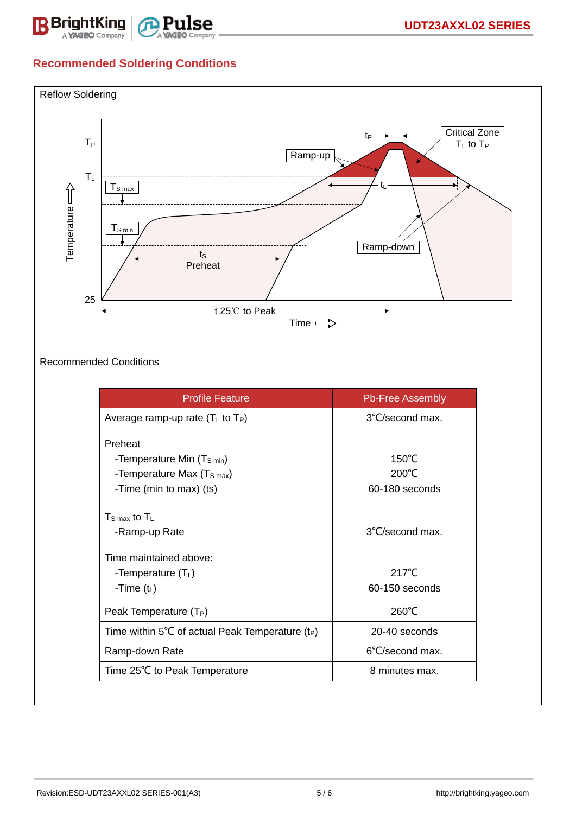

# **Recommended Soldering Conditions**